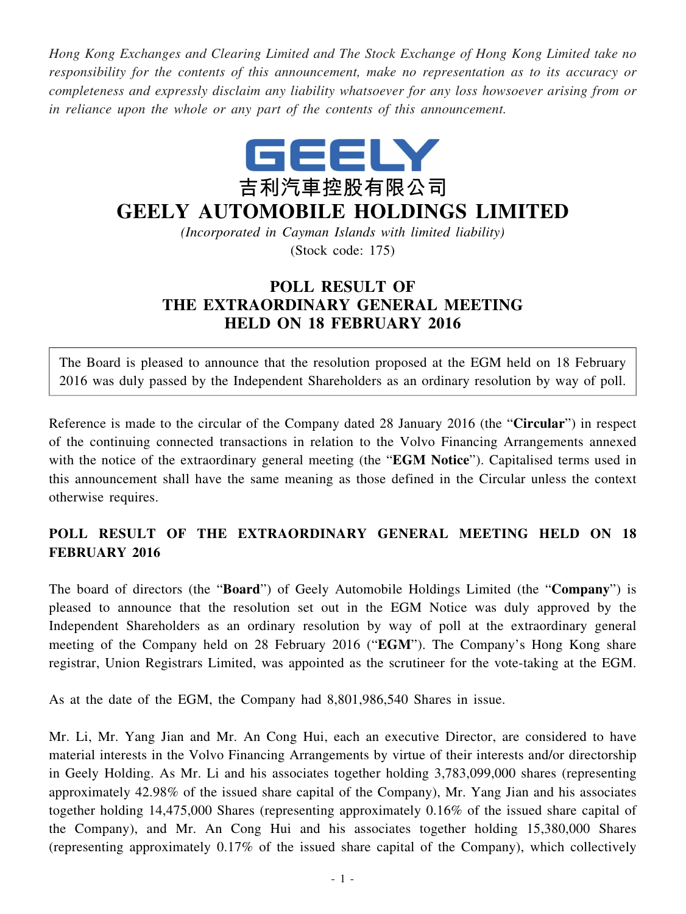*Hong Kong Exchanges and Clearing Limited and The Stock Exchange of Hong Kong Limited take no responsibility for the contents of this announcement, make no representation as to its accuracy or completeness and expressly disclaim any liability whatsoever for any loss howsoever arising from or in reliance upon the whole or any part of the contents of this announcement.*



## **GEELY AUTOMOBILE HOLDINGS LIMITED**

*(Incorporated in Cayman Islands with limited liability)* (Stock code: 175)

## **POLL RESULT OF THE EXTRAORDINARY GENERAL MEETING HELD ON 18 FEBRUARY 2016**

The Board is pleased to announce that the resolution proposed at the EGM held on 18 February 2016 was duly passed by the Independent Shareholders as an ordinary resolution by way of poll.

Reference is made to the circular of the Company dated 28 January 2016 (the "**Circular**") in respect of the continuing connected transactions in relation to the Volvo Financing Arrangements annexed with the notice of the extraordinary general meeting (the "**EGM Notice**"). Capitalised terms used in this announcement shall have the same meaning as those defined in the Circular unless the context otherwise requires.

## **POLL RESULT OF THE EXTRAORDINARY GENERAL MEETING HELD ON 18 FEBRUARY 2016**

The board of directors (the "**Board**") of Geely Automobile Holdings Limited (the "**Company**") is pleased to announce that the resolution set out in the EGM Notice was duly approved by the Independent Shareholders as an ordinary resolution by way of poll at the extraordinary general meeting of the Company held on 28 February 2016 ("**EGM**"). The Company's Hong Kong share registrar, Union Registrars Limited, was appointed as the scrutineer for the vote-taking at the EGM.

As at the date of the EGM, the Company had 8,801,986,540 Shares in issue.

Mr. Li, Mr. Yang Jian and Mr. An Cong Hui, each an executive Director, are considered to have material interests in the Volvo Financing Arrangements by virtue of their interests and/or directorship in Geely Holding. As Mr. Li and his associates together holding 3,783,099,000 shares (representing approximately 42.98% of the issued share capital of the Company), Mr. Yang Jian and his associates together holding 14,475,000 Shares (representing approximately 0.16% of the issued share capital of the Company), and Mr. An Cong Hui and his associates together holding 15,380,000 Shares (representing approximately 0.17% of the issued share capital of the Company), which collectively